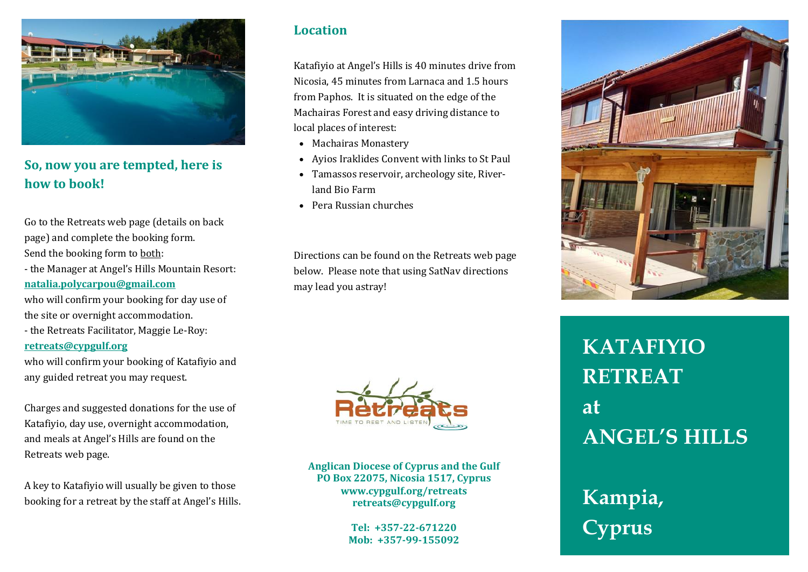

## **So, now you are tempted, here is how to book!**

Go to the Retreats web page (details on back page) and complete the booking form. Send the booking form to both: - the Manager at Angel's Hills Mountain Resort: **[natalia.polycarpou@gmail.com](mailto:natalia.polycarpou@gmail.com)**

who will confirm your booking for day use of the site or overnight accommodation.

- the Retreats Facilitator, Maggie Le-Roy:

#### **[retreats@cypgulf.org](mailto:retreats@cypgulf.org)**

who will confirm your booking of Katafiyio and any guided retreat you may request.

Charges and suggested donations for the use of Katafiyio, day use, overnight accommodation, and meals at Angel's Hills are found on the Retreats web page.

A key to Katafiyio will usually be given to those booking for a retreat by the staff at Angel's Hills.

#### **Location**

Katafiyio at Angel's Hills is 40 minutes drive from Nicosia, 45 minutes from Larnaca and 1.5 hours from Paphos. It is situated on the edge of the Machairas Forest and easy driving distance to local places of interest:

- Machairas Monastery
- Ayios Iraklides Convent with links to St Paul
- Tamassos reservoir, archeology site, Riverland Bio Farm
- Pera Russian churches

Directions can be found on the Retreats web page below. Please note that using SatNav directions may lead you astray!



**Anglican Diocese of Cyprus and the Gulf PO Box 22075, Nicosia 1517, Cyprus www.cypgulf.org/retreats retreats@cypgulf.org**

> **Tel: +357-22-671220 Mob: +357-99-155092**



# **KATAFIYIO RETREAT at ANGEL'S HILLS**

# **Kampia, Cyprus**